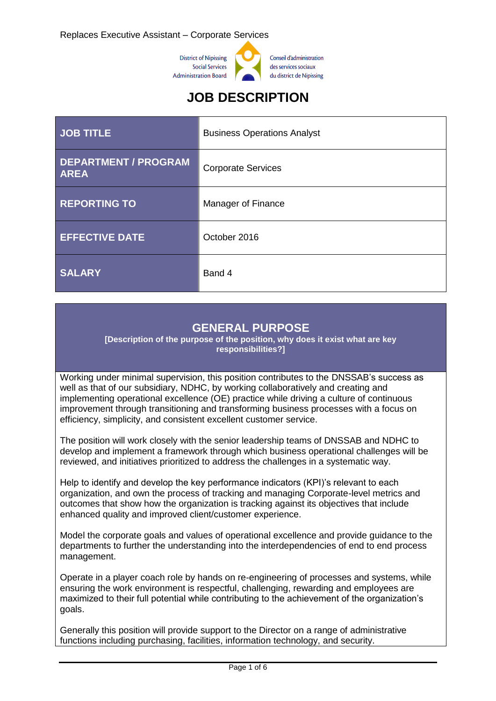

# **JOB DESCRIPTION**

| JOB TITLE                                  | <b>Business Operations Analyst</b> |  |
|--------------------------------------------|------------------------------------|--|
| <b>DEPARTMENT / PROGRAM</b><br><b>AREA</b> | <b>Corporate Services</b>          |  |
| <b>REPORTING TO</b>                        | Manager of Finance                 |  |
| <b>EFFECTIVE DATE</b>                      | October 2016                       |  |
| <b>SALARY</b>                              | Band 4                             |  |

### **GENERAL PURPOSE**

**[Description of the purpose of the position, why does it exist what are key responsibilities?]**

Working under minimal supervision, this position contributes to the DNSSAB's success as well as that of our subsidiary, NDHC, by working collaboratively and creating and implementing operational excellence (OE) practice while driving a culture of continuous improvement through transitioning and transforming business processes with a focus on efficiency, simplicity, and consistent excellent customer service.

The position will work closely with the senior leadership teams of DNSSAB and NDHC to develop and implement a framework through which business operational challenges will be reviewed, and initiatives prioritized to address the challenges in a systematic way.

Help to identify and develop the key performance indicators (KPI)'s relevant to each organization, and own the process of tracking and managing Corporate-level metrics and outcomes that show how the organization is tracking against its objectives that include enhanced quality and improved client/customer experience.

Model the corporate goals and values of operational excellence and provide guidance to the departments to further the understanding into the interdependencies of end to end process management.

Operate in a player coach role by hands on re-engineering of processes and systems, while ensuring the work environment is respectful, challenging, rewarding and employees are maximized to their full potential while contributing to the achievement of the organization's goals.

Generally this position will provide support to the Director on a range of administrative functions including purchasing, facilities, information technology, and security.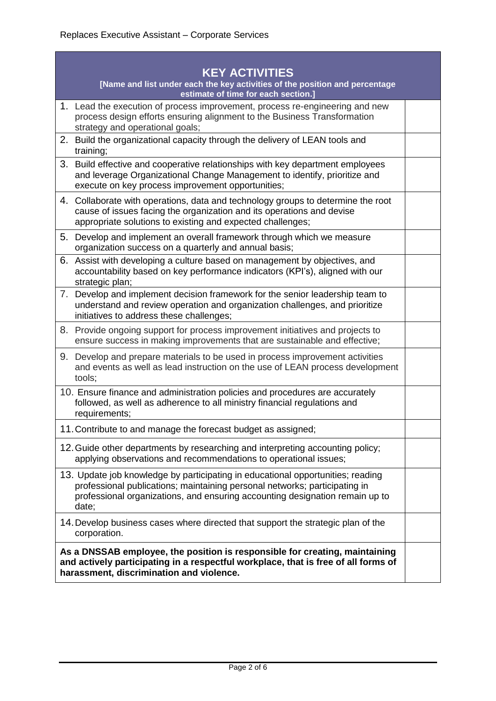| <b>KEY ACTIVITIES</b>                                                                                                                                                                                                                                  |  |  |  |
|--------------------------------------------------------------------------------------------------------------------------------------------------------------------------------------------------------------------------------------------------------|--|--|--|
| [Name and list under each the key activities of the position and percentage<br>estimate of time for each section.]                                                                                                                                     |  |  |  |
| 1. Lead the execution of process improvement, process re-engineering and new<br>process design efforts ensuring alignment to the Business Transformation<br>strategy and operational goals;                                                            |  |  |  |
| 2. Build the organizational capacity through the delivery of LEAN tools and<br>training;                                                                                                                                                               |  |  |  |
| 3. Build effective and cooperative relationships with key department employees<br>and leverage Organizational Change Management to identify, prioritize and<br>execute on key process improvement opportunities;                                       |  |  |  |
| 4. Collaborate with operations, data and technology groups to determine the root<br>cause of issues facing the organization and its operations and devise<br>appropriate solutions to existing and expected challenges;                                |  |  |  |
| 5. Develop and implement an overall framework through which we measure<br>organization success on a quarterly and annual basis;                                                                                                                        |  |  |  |
| 6. Assist with developing a culture based on management by objectives, and<br>accountability based on key performance indicators (KPI's), aligned with our<br>strategic plan;                                                                          |  |  |  |
| 7. Develop and implement decision framework for the senior leadership team to<br>understand and review operation and organization challenges, and prioritize<br>initiatives to address these challenges;                                               |  |  |  |
| 8. Provide ongoing support for process improvement initiatives and projects to<br>ensure success in making improvements that are sustainable and effective;                                                                                            |  |  |  |
| 9. Develop and prepare materials to be used in process improvement activities<br>and events as well as lead instruction on the use of LEAN process development<br>tools;                                                                               |  |  |  |
| 10. Ensure finance and administration policies and procedures are accurately<br>followed, as well as adherence to all ministry financial regulations and<br>requirements;                                                                              |  |  |  |
| 11. Contribute to and manage the forecast budget as assigned;                                                                                                                                                                                          |  |  |  |
| 12. Guide other departments by researching and interpreting accounting policy;<br>applying observations and recommendations to operational issues;                                                                                                     |  |  |  |
| 13. Update job knowledge by participating in educational opportunities; reading<br>professional publications; maintaining personal networks; participating in<br>professional organizations, and ensuring accounting designation remain up to<br>date; |  |  |  |
| 14. Develop business cases where directed that support the strategic plan of the<br>corporation.                                                                                                                                                       |  |  |  |
| As a DNSSAB employee, the position is responsible for creating, maintaining<br>and actively participating in a respectful workplace, that is free of all forms of<br>harassment, discrimination and violence.                                          |  |  |  |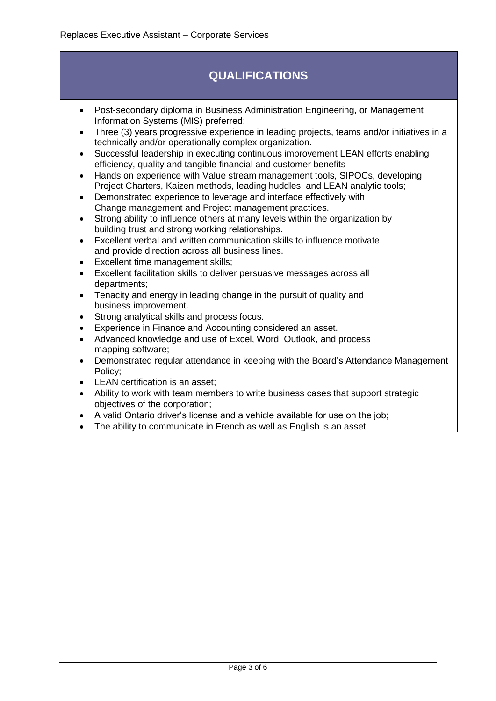# **QUALIFICATIONS**

- Post-secondary diploma in Business Administration Engineering, or Management Information Systems (MIS) preferred;
- Three (3) years progressive experience in leading projects, teams and/or initiatives in a technically and/or operationally complex organization.
- Successful leadership in executing continuous improvement LEAN efforts enabling efficiency, quality and tangible financial and customer benefits
- Hands on experience with Value stream management tools, SIPOCs, developing Project Charters, Kaizen methods, leading huddles, and LEAN analytic tools;
- Demonstrated experience to leverage and interface effectively with Change management and Project management practices.
- Strong ability to influence others at many levels within the organization by building trust and strong working relationships.
- Excellent verbal and written communication skills to influence motivate and provide direction across all business lines.
- Excellent time management skills;
- Excellent facilitation skills to deliver persuasive messages across all departments;
- Tenacity and energy in leading change in the pursuit of quality and business improvement.
- Strong analytical skills and process focus.
- Experience in Finance and Accounting considered an asset.
- Advanced knowledge and use of Excel, Word, Outlook, and process mapping software;
- Demonstrated regular attendance in keeping with the Board's Attendance Management Policy;
- LEAN certification is an asset;
- Ability to work with team members to write business cases that support strategic objectives of the corporation;
- A valid Ontario driver's license and a vehicle available for use on the job;
- The ability to communicate in French as well as English is an asset.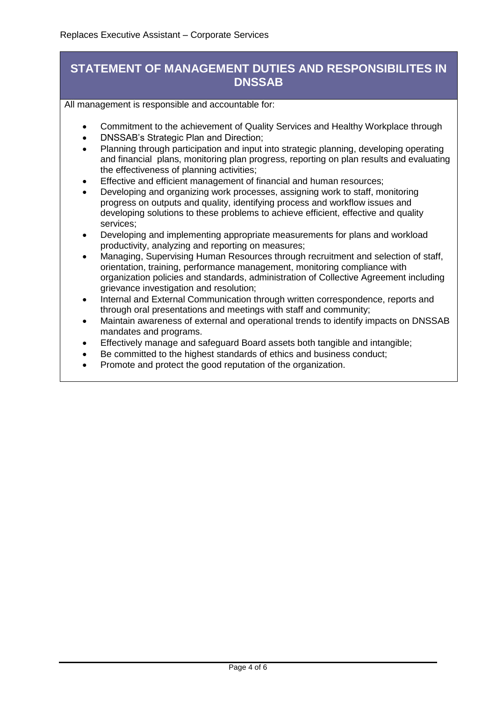### **STATEMENT OF MANAGEMENT DUTIES AND RESPONSIBILITES IN DNSSAB**

All management is responsible and accountable for:

- Commitment to the achievement of Quality Services and Healthy Workplace through
- DNSSAB's Strategic Plan and Direction;
- Planning through participation and input into strategic planning, developing operating and financial plans, monitoring plan progress, reporting on plan results and evaluating the effectiveness of planning activities;
- Effective and efficient management of financial and human resources;
- Developing and organizing work processes, assigning work to staff, monitoring progress on outputs and quality, identifying process and workflow issues and developing solutions to these problems to achieve efficient, effective and quality services;
- Developing and implementing appropriate measurements for plans and workload productivity, analyzing and reporting on measures;
- Managing, Supervising Human Resources through recruitment and selection of staff, orientation, training, performance management, monitoring compliance with organization policies and standards, administration of Collective Agreement including grievance investigation and resolution;
- Internal and External Communication through written correspondence, reports and through oral presentations and meetings with staff and community;
- Maintain awareness of external and operational trends to identify impacts on DNSSAB mandates and programs.
- Effectively manage and safeguard Board assets both tangible and intangible;
- Be committed to the highest standards of ethics and business conduct;
- Promote and protect the good reputation of the organization.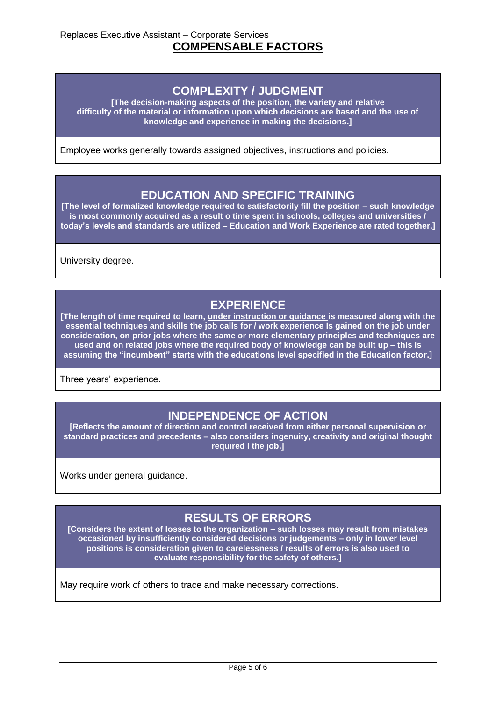#### **COMPLEXITY / JUDGMENT**

**[The decision-making aspects of the position, the variety and relative difficulty of the material or information upon which decisions are based and the use of knowledge and experience in making the decisions.]**

Employee works generally towards assigned objectives, instructions and policies.

#### **EDUCATION AND SPECIFIC TRAINING**

**[The level of formalized knowledge required to satisfactorily fill the position – such knowledge is most commonly acquired as a result o time spent in schools, colleges and universities / today's levels and standards are utilized – Education and Work Experience are rated together.]**

University degree.

### **EXPERIENCE**

**[The length of time required to learn, under instruction or guidance is measured along with the essential techniques and skills the job calls for / work experience Is gained on the job under consideration, on prior jobs where the same or more elementary principles and techniques are used and on related jobs where the required body of knowledge can be built up – this is assuming the "incumbent" starts with the educations level specified in the Education factor.]**

Three years' experience.

### **INDEPENDENCE OF ACTION**

**[Reflects the amount of direction and control received from either personal supervision or standard practices and precedents – also considers ingenuity, creativity and original thought required I the job.]**

Works under general guidance.

### **RESULTS OF ERRORS**

**[Considers the extent of losses to the organization – such losses may result from mistakes occasioned by insufficiently considered decisions or judgements – only in lower level positions is consideration given to carelessness / results of errors is also used to evaluate responsibility for the safety of others.]**

May require work of others to trace and make necessary corrections.